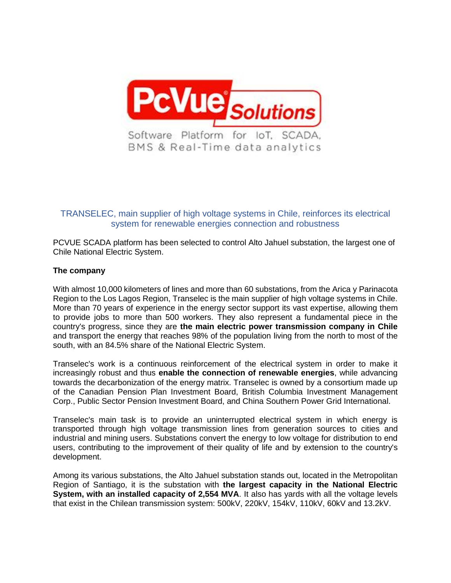

# TRANSELEC, main supplier of high voltage systems in Chile, reinforces its electrical system for renewable energies connection and robustness

PCVUE SCADA platform has been selected to control Alto Jahuel substation, the largest one of Chile National Electric System.

### **The company**

With almost 10,000 kilometers of lines and more than 60 substations, from the Arica y Parinacota Region to the Los Lagos Region, Transelec is the main supplier of high voltage systems in Chile. More than 70 years of experience in the energy sector support its vast expertise, allowing them to provide jobs to more than 500 workers. They also represent a fundamental piece in the country's progress, since they are **the main electric power transmission company in Chile** and transport the energy that reaches 98% of the population living from the north to most of the south, with an 84.5% share of the National Electric System.

Transelec's work is a continuous reinforcement of the electrical system in order to make it increasingly robust and thus **enable the connection of renewable energies**, while advancing towards the decarbonization of the energy matrix. Transelec is owned by a consortium made up of the Canadian Pension Plan Investment Board, British Columbia Investment Management Corp., Public Sector Pension Investment Board, and China Southern Power Grid International.

Transelec's main task is to provide an uninterrupted electrical system in which energy is transported through high voltage transmission lines from generation sources to cities and industrial and mining users. Substations convert the energy to low voltage for distribution to end users, contributing to the improvement of their quality of life and by extension to the country's development.

Among its various substations, the Alto Jahuel substation stands out, located in the Metropolitan Region of Santiago, it is the substation with **the largest capacity in the National Electric System, with an installed capacity of 2,554 MVA**. It also has yards with all the voltage levels that exist in the Chilean transmission system: 500kV, 220kV, 154kV, 110kV, 60kV and 13.2kV.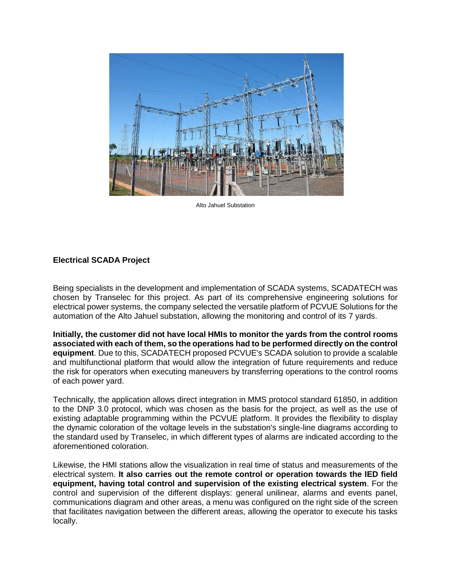

Alto Jahuel Substation

### **Electrical SCADA Project**

Being specialists in the development and implementation of SCADA systems, SCADATECH was chosen by Transelec for this project. As part of its comprehensive engineering solutions for electrical power systems, the company selected the versatile platform of PCVUE Solutions for the automation of the Alto Jahuel substation, allowing the monitoring and control of its 7 yards.

**Initially, the customer did not have local HMIs to monitor the yards from the control rooms associated with each of them, so the operations had to be performed directly on the control equipment**. Due to this, SCADATECH proposed PCVUE's SCADA solution to provide a scalable and multifunctional platform that would allow the integration of future requirements and reduce the risk for operators when executing maneuvers by transferring operations to the control rooms of each power yard.

Technically, the application allows direct integration in MMS protocol standard 61850, in addition to the DNP 3.0 protocol, which was chosen as the basis for the project, as well as the use of existing adaptable programming within the PCVUE platform. It provides the flexibility to display the dynamic coloration of the voltage levels in the substation's single-line diagrams according to the standard used by Transelec, in which different types of alarms are indicated according to the aforementioned coloration.

Likewise, the HMI stations allow the visualization in real time of status and measurements of the electrical system. **It also carries out the remote control or operation towards the IED field equipment, having total control and supervision of the existing electrical system**. For the control and supervision of the different displays: general unilinear, alarms and events panel, communications diagram and other areas, a menu was configured on the right side of the screen that facilitates navigation between the different areas, allowing the operator to execute his tasks locally.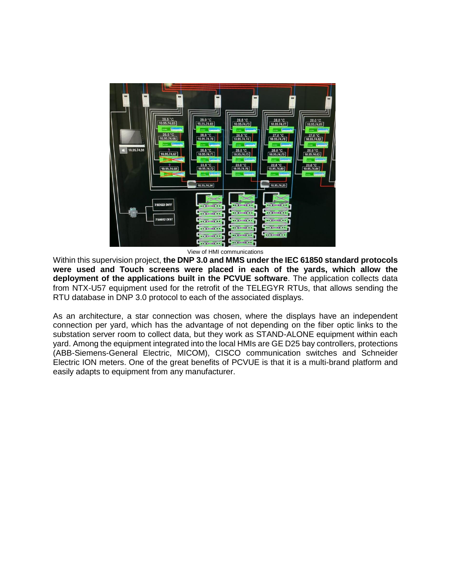

View of HMI communications

Within this supervision project, **the DNP 3.0 and MMS under the IEC 61850 standard protocols were used and Touch screens were placed in each of the yards, which allow the deployment of the applications built in the PCVUE software**. The application collects data from NTX-U57 equipment used for the retrofit of the TELEGYR RTUs, that allows sending the RTU database in DNP 3.0 protocol to each of the associated displays.

As an architecture, a star connection was chosen, where the displays have an independent connection per yard, which has the advantage of not depending on the fiber optic links to the substation server room to collect data, but they work as STAND-ALONE equipment within each yard. Among the equipment integrated into the local HMIs are GE D25 bay controllers, protections (ABB-Siemens-General Electric, MICOM), CISCO communication switches and Schneider Electric ION meters. One of the great benefits of PCVUE is that it is a multi-brand platform and easily adapts to equipment from any manufacturer.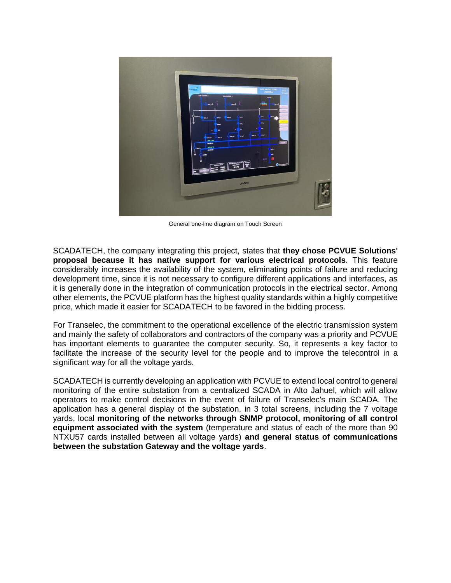

General one-line diagram on Touch Screen

SCADATECH, the company integrating this project, states that **they chose PCVUE Solutions' proposal because it has native support for various electrical protocols**. This feature considerably increases the availability of the system, eliminating points of failure and reducing development time, since it is not necessary to configure different applications and interfaces, as it is generally done in the integration of communication protocols in the electrical sector. Among other elements, the PCVUE platform has the highest quality standards within a highly competitive price, which made it easier for SCADATECH to be favored in the bidding process.

For Transelec, the commitment to the operational excellence of the electric transmission system and mainly the safety of collaborators and contractors of the company was a priority and PCVUE has important elements to guarantee the computer security. So, it represents a key factor to facilitate the increase of the security level for the people and to improve the telecontrol in a significant way for all the voltage yards.

SCADATECH is currently developing an application with PCVUE to extend local control to general monitoring of the entire substation from a centralized SCADA in Alto Jahuel, which will allow operators to make control decisions in the event of failure of Transelec's main SCADA. The application has a general display of the substation, in 3 total screens, including the 7 voltage yards, local **monitoring of the networks through SNMP protocol, monitoring of all control equipment associated with the system** (temperature and status of each of the more than 90 NTXU57 cards installed between all voltage yards) **and general status of communications between the substation Gateway and the voltage yards**.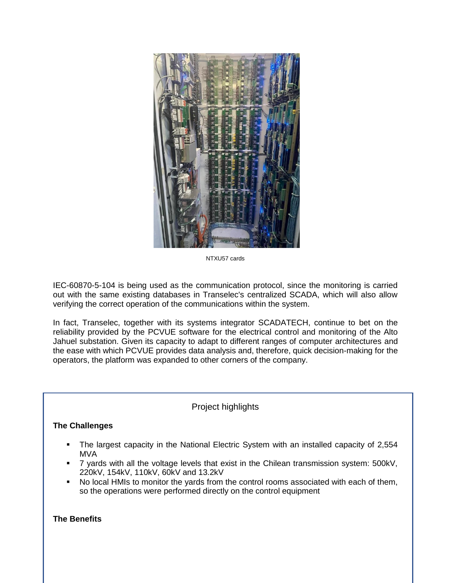

NTXU57 cards

IEC-60870-5-104 is being used as the communication protocol, since the monitoring is carried out with the same existing databases in Transelec's centralized SCADA, which will also allow verifying the correct operation of the communications within the system.

In fact, Transelec, together with its systems integrator SCADATECH, continue to bet on the reliability provided by the PCVUE software for the electrical control and monitoring of the Alto Jahuel substation. Given its capacity to adapt to different ranges of computer architectures and the ease with which PCVUE provides data analysis and, therefore, quick decision-making for the operators, the platform was expanded to other corners of the company.

## Project highlights

## **The Challenges**

- The largest capacity in the National Electric System with an installed capacity of 2,554 MVA
- T 7 yards with all the voltage levels that exist in the Chilean transmission system: 500kV, 220kV, 154kV, 110kV, 60kV and 13.2kV
- No local HMIs to monitor the yards from the control rooms associated with each of them, so the operations were performed directly on the control equipment

## **The Benefits**